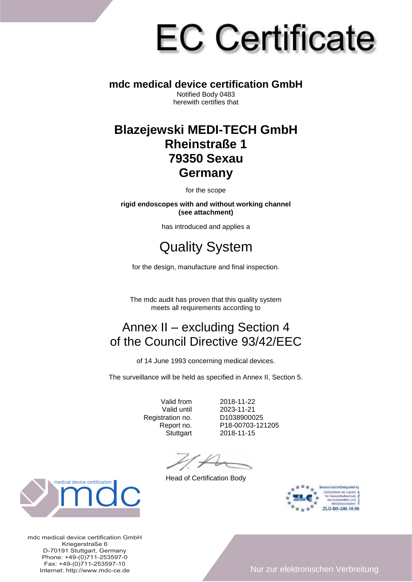# **EC Certificate**

#### **mdc medical device certification GmbH**

Notified Body 0483 herewith certifies that

#### **Blazejewski MEDI-TECH GmbH Rheinstraße 1 79350 Sexau Germany**

for the scope

**rigid endoscopes with and without working channel (see attachment)** 

has introduced and applies a

## Quality System

for the design, manufacture and final inspection.

The mdc audit has proven that this quality system meets all requirements according to

### Annex II – excluding Section 4 of the Council Directive 93/42/EEC

of 14 June 1993 concerning medical devices.

The surveillance will be held as specified in Annex II, Section 5.

Registration no.

Valid from 2018-11-22 2023-11-21<br>D1038900025 Report no. P18-00703-121205 Stuttgart 2018-11-15

Head of Certification Body





mdc medical device certification GmbH Kriegerstraße 6 D-70191 Stuttgart, Germany Phone: +49-(0)711-253597-0 Fax: +49-(0)711-253597-10<br>Internet: http://www.mdc-ce.de

Internet: http://www.mdc-ce.de Nur zur elektronischen Verbreitung